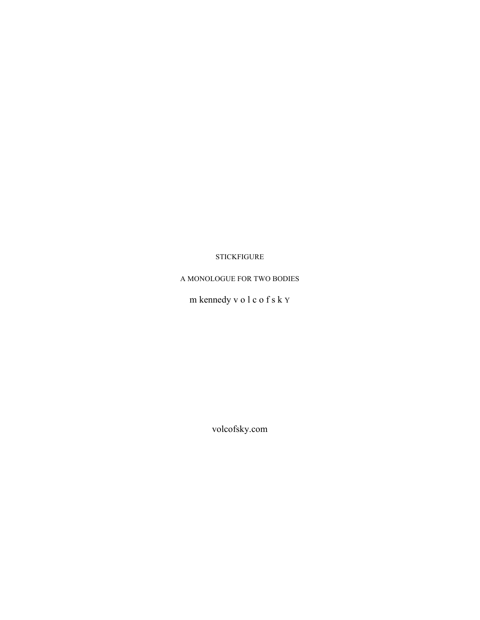STICKFIGURE

A MONOLOGUE FOR TWO BODIES

m kennedy v o l c o f s k Y

volcofsky.com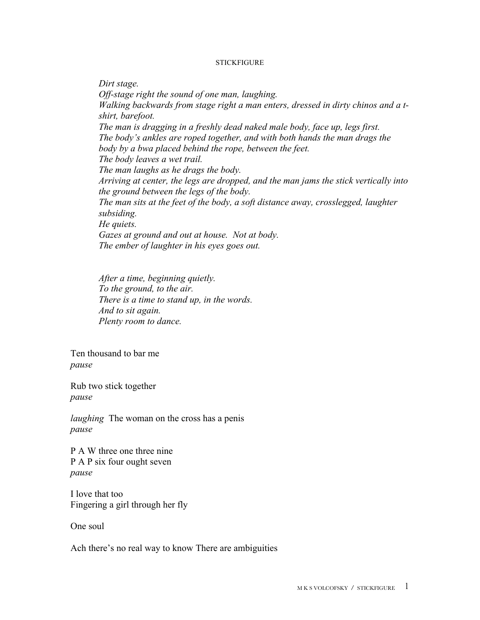## **STICKFIGURE**

*Dirt stage. Off-stage right the sound of one man, laughing. Walking backwards from stage right a man enters, dressed in dirty chinos and a tshirt, barefoot. The man is dragging in a freshly dead naked male body, face up, legs first. The body's ankles are roped together, and with both hands the man drags the body by a bwa placed behind the rope, between the feet. The body leaves a wet trail. The man laughs as he drags the body. Arriving at center, the legs are dropped, and the man jams the stick vertically into the ground between the legs of the body. The man sits at the feet of the body, a soft distance away, crosslegged, laughter subsiding. He quiets. Gazes at ground and out at house. Not at body. The ember of laughter in his eyes goes out.*

*After a time, beginning quietly. To the ground, to the air. There is a time to stand up, in the words. And to sit again. Plenty room to dance.*

Ten thousand to bar me *pause*

Rub two stick together *pause*

*laughing* The woman on the cross has a penis *pause*

P A W three one three nine P A P six four ought seven *pause*

I love that too Fingering a girl through her fly

One soul

Ach there's no real way to know There are ambiguities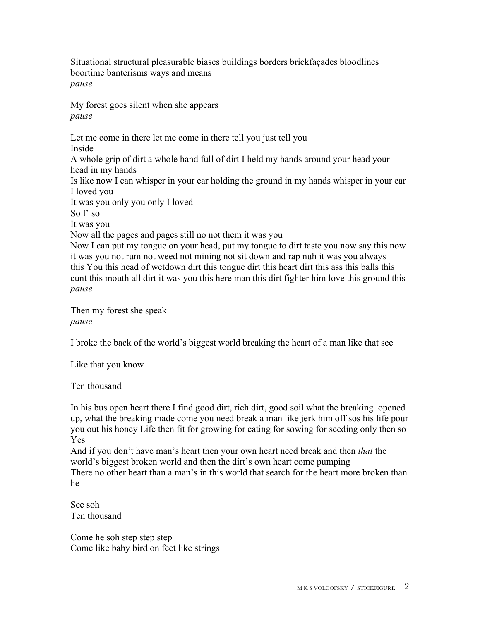Situational structural pleasurable biases buildings borders brickfaçades bloodlines boortime banterisms ways and means *pause*

My forest goes silent when she appears *pause*

Let me come in there let me come in there tell you just tell you Inside A whole grip of dirt a whole hand full of dirt I held my hands around your head your head in my hands Is like now I can whisper in your ear holding the ground in my hands whisper in your ear I loved you It was you only you only I loved So f' so It was you Now all the pages and pages still no not them it was you Now I can put my tongue on your head, put my tongue to dirt taste you now say this now it was you not rum not weed not mining not sit down and rap nuh it was you always this You this head of wetdown dirt this tongue dirt this heart dirt this ass this balls this cunt this mouth all dirt it was you this here man this dirt fighter him love this ground this *pause*

Then my forest she speak *pause*

I broke the back of the world's biggest world breaking the heart of a man like that see

Like that you know

Ten thousand

In his bus open heart there I find good dirt, rich dirt, good soil what the breaking opened up, what the breaking made come you need break a man like jerk him off sos his life pour you out his honey Life then fit for growing for eating for sowing for seeding only then so Yes

And if you don't have man's heart then your own heart need break and then *that* the world's biggest broken world and then the dirt's own heart come pumping

There no other heart than a man's in this world that search for the heart more broken than he

See soh Ten thousand

Come he soh step step step Come like baby bird on feet like strings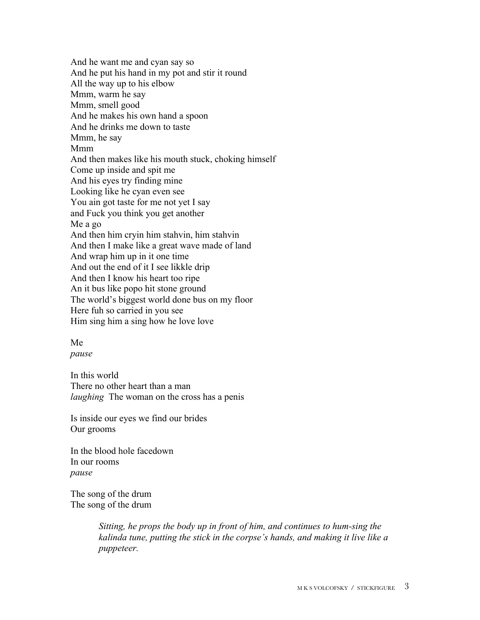And he want me and cyan say so And he put his hand in my pot and stir it round All the way up to his elbow Mmm, warm he say Mmm, smell good And he makes his own hand a spoon And he drinks me down to taste Mmm, he say Mmm And then makes like his mouth stuck, choking himself Come up inside and spit me And his eyes try finding mine Looking like he cyan even see You ain got taste for me not yet I say and Fuck you think you get another Me a go And then him cryin him stahvin, him stahvin And then I make like a great wave made of land And wrap him up in it one time And out the end of it I see likkle drip And then I know his heart too ripe An it bus like popo hit stone ground The world's biggest world done bus on my floor Here fuh so carried in you see Him sing him a sing how he love love

## Me *pause*

In this world There no other heart than a man *laughing* The woman on the cross has a penis

Is inside our eyes we find our brides Our grooms

In the blood hole facedown In our rooms *pause*

The song of the drum The song of the drum

> *Sitting, he props the body up in front of him, and continues to hum-sing the kalinda tune, putting the stick in the corpse's hands, and making it live like a puppeteer.*